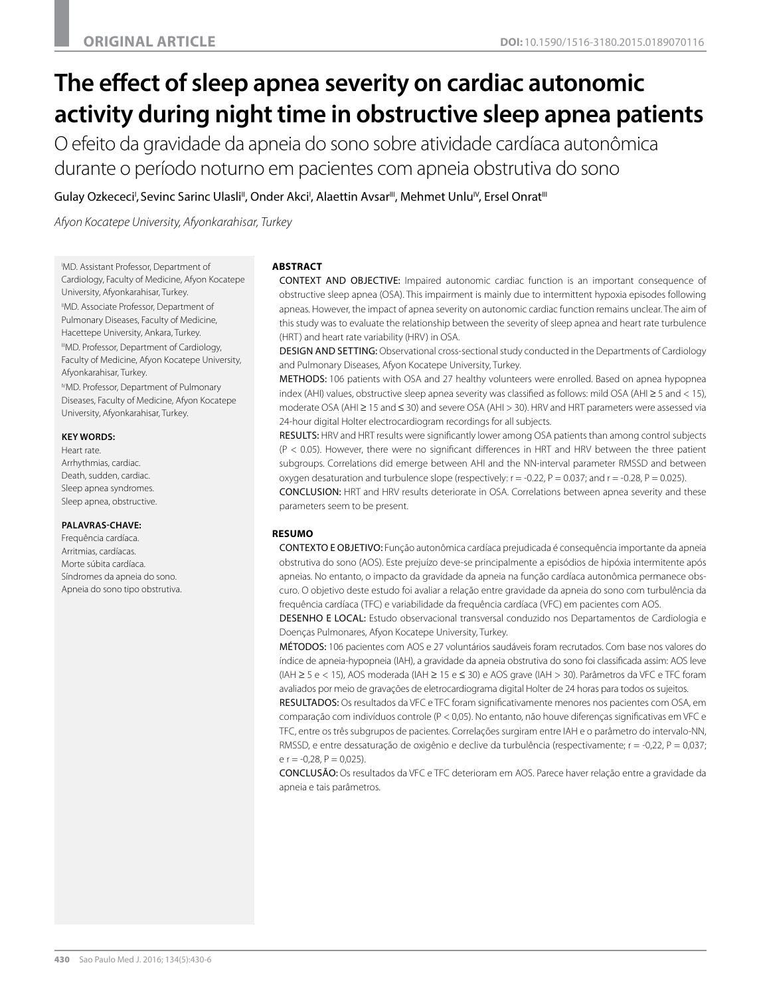# **The effect of sleep apnea severity on cardiac autonomic activity during night time in obstructive sleep apnea patients**

O efeito da gravidade da apneia do sono sobre atividade cardíaca autonômica durante o período noturno em pacientes com apneia obstrutiva do sono

Gulay Ozkececi<sup>ı</sup>, Sevinc Sarinc Ulasli", Onder Akci<sup>ı</sup>, Alaettin Avsar<sup>ııı</sup>, Mehmet Unlu<sup>ıv</sup>, Ersel Onrat<sup>ııı</sup>

*Afyon Kocatepe University, Afyonkarahisar, Turkey*

I MD. Assistant Professor, Department of Cardiology, Faculty of Medicine, Afyon Kocatepe University, Afyonkarahisar, Turkey. "MD. Associate Professor, Department of Pulmonary Diseases, Faculty of Medicine, Hacettepe University, Ankara, Turkey.

IIIMD. Professor, Department of Cardiology, Faculty of Medicine, Afyon Kocatepe University, Afyonkarahisar, Turkey.

IVMD. Professor, Department of Pulmonary Diseases, Faculty of Medicine, Afyon Kocatepe University, Afyonkarahisar, Turkey.

# **KEY WORDS:**

Heart rate. Arrhythmias, cardiac. Death, sudden, cardiac. Sleep apnea syndromes. Sleep apnea, obstructive.

# **PALAVRAS-CHAVE:**

Frequência cardíaca. Arritmias, cardíacas. Morte súbita cardíaca. Síndromes da apneia do sono. Apneia do sono tipo obstrutiva.

# **ABSTRACT**

CONTEXT AND OBJECTIVE: Impaired autonomic cardiac function is an important consequence of obstructive sleep apnea (OSA). This impairment is mainly due to intermittent hypoxia episodes following apneas. However, the impact of apnea severity on autonomic cardiac function remains unclear. The aim of this study was to evaluate the relationship between the severity of sleep apnea and heart rate turbulence (HRT) and heart rate variability (HRV) in OSA.

DESIGN AND SETTING: Observational cross-sectional study conducted in the Departments of Cardiology and Pulmonary Diseases, Afyon Kocatepe University, Turkey.

METHODS: 106 patients with OSA and 27 healthy volunteers were enrolled. Based on apnea hypopnea index (AHI) values, obstructive sleep apnea severity was classified as follows: mild OSA (AHI ≥ 5 and < 15), moderate OSA (AHI ≥ 15 and ≤ 30) and severe OSA (AHI > 30). HRV and HRT parameters were assessed via 24-hour digital Holter electrocardiogram recordings for all subjects.

RESULTS: HRV and HRT results were significantly lower among OSA patients than among control subjects (P < 0.05). However, there were no significant differences in HRT and HRV between the three patient subgroups. Correlations did emerge between AHI and the NN-interval parameter RMSSD and between oxygen desaturation and turbulence slope (respectively:  $r = -0.22$ ,  $P = 0.037$ ; and  $r = -0.28$ ,  $P = 0.025$ ).

CONCLUSION: HRT and HRV results deteriorate in OSA. Correlations between apnea severity and these parameters seem to be present.

# **RESUMO**

CONTEXTO E OBJETIVO: Função autonômica cardíaca prejudicada é consequência importante da apneia obstrutiva do sono (AOS). Este prejuízo deve-se principalmente a episódios de hipóxia intermitente após apneias. No entanto, o impacto da gravidade da apneia na função cardíaca autonômica permanece obscuro. O objetivo deste estudo foi avaliar a relação entre gravidade da apneia do sono com turbulência da frequência cardíaca (TFC) e variabilidade da frequência cardíaca (VFC) em pacientes com AOS.

DESENHO E LOCAL: Estudo observacional transversal conduzido nos Departamentos de Cardiologia e Doenças Pulmonares, Afyon Kocatepe University, Turkey.

MÉTODOS: 106 pacientes com AOS e 27 voluntários saudáveis foram recrutados. Com base nos valores do índice de apneia-hypopneia (IAH), a gravidade da apneia obstrutiva do sono foi classificada assim: AOS leve (IAH ≥ 5 e < 15), AOS moderada (IAH ≥ 15 e ≤ 30) e AOS grave (IAH > 30). Parâmetros da VFC e TFC foram avaliados por meio de gravações de eletrocardiograma digital Holter de 24 horas para todos os sujeitos.

RESULTADOS: Os resultados da VFC e TFC foram significativamente menores nos pacientes com OSA, em comparação com indivíduos controle (P < 0,05). No entanto, não houve diferenças significativas em VFC e TFC, entre os três subgrupos de pacientes. Correlações surgiram entre IAH e o parâmetro do intervalo-NN, RMSSD, e entre dessaturação de oxigênio e declive da turbulência (respectivamente;  $r = -0.22$ ,  $P = 0.037$ ; e  $r = -0.28$ ,  $P = 0.025$ ).

CONCLUSÃO: Os resultados da VFC e TFC deterioram em AOS. Parece haver relação entre a gravidade da apneia e tais parâmetros.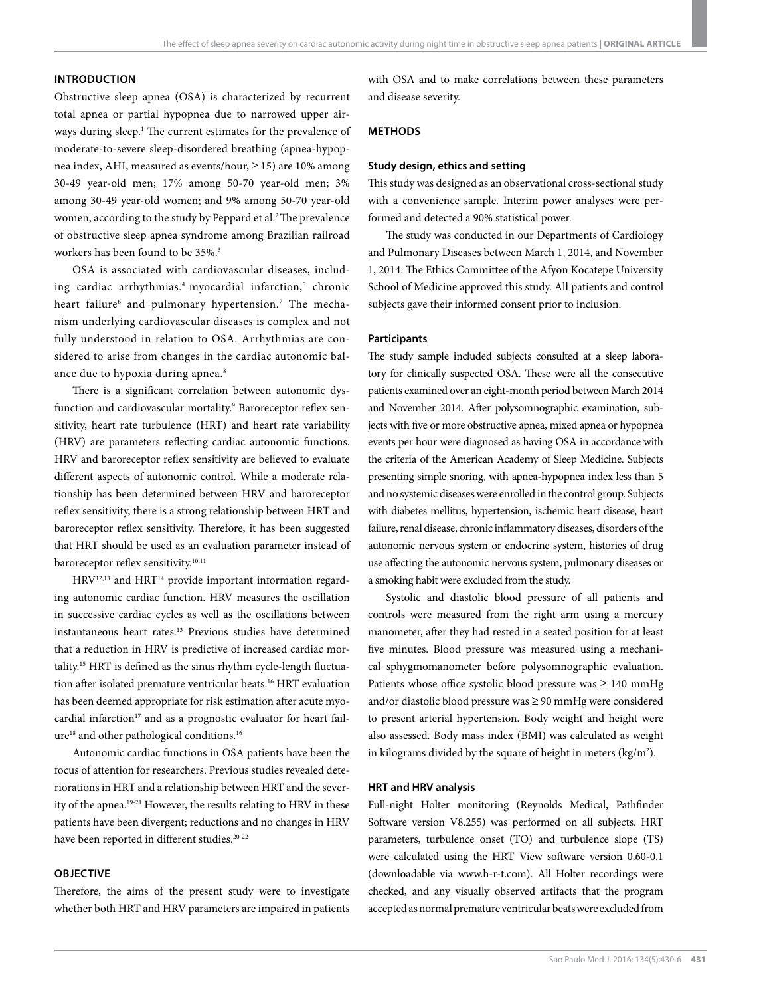#### **INTRODUCTION**

Obstructive sleep apnea (OSA) is characterized by recurrent total apnea or partial hypopnea due to narrowed upper airways during sleep.1 The current estimates for the prevalence of moderate-to-severe sleep-disordered breathing (apnea-hypopnea index, AHI, measured as events/hour, ≥ 15) are 10% among 30-49 year-old men; 17% among 50-70 year-old men; 3% among 30-49 year-old women; and 9% among 50-70 year-old women, according to the study by Peppard et al.<sup>2</sup> The prevalence of obstructive sleep apnea syndrome among Brazilian railroad workers has been found to be 35%.<sup>3</sup>

OSA is associated with cardiovascular diseases, including cardiac arrhythmias.<sup>4</sup> myocardial infarction,<sup>5</sup> chronic heart failure6 and pulmonary hypertension.7 The mechanism underlying cardiovascular diseases is complex and not fully understood in relation to OSA. Arrhythmias are considered to arise from changes in the cardiac autonomic balance due to hypoxia during apnea.<sup>8</sup>

There is a significant correlation between autonomic dysfunction and cardiovascular mortality.9 Baroreceptor reflex sensitivity, heart rate turbulence (HRT) and heart rate variability (HRV) are parameters reflecting cardiac autonomic functions. HRV and baroreceptor reflex sensitivity are believed to evaluate different aspects of autonomic control. While a moderate relationship has been determined between HRV and baroreceptor reflex sensitivity, there is a strong relationship between HRT and baroreceptor reflex sensitivity. Therefore, it has been suggested that HRT should be used as an evaluation parameter instead of baroreceptor reflex sensitivity.<sup>10,11</sup>

HRV<sup>12,13</sup> and HRT<sup>14</sup> provide important information regarding autonomic cardiac function. HRV measures the oscillation in successive cardiac cycles as well as the oscillations between instantaneous heart rates.13 Previous studies have determined that a reduction in HRV is predictive of increased cardiac mortality.15 HRT is defined as the sinus rhythm cycle-length fluctuation after isolated premature ventricular beats.16 HRT evaluation has been deemed appropriate for risk estimation after acute myocardial infarction<sup>17</sup> and as a prognostic evaluator for heart failure<sup>18</sup> and other pathological conditions.<sup>16</sup>

Autonomic cardiac functions in OSA patients have been the focus of attention for researchers. Previous studies revealed deteriorations in HRT and a relationship between HRT and the severity of the apnea.<sup>19-21</sup> However, the results relating to HRV in these patients have been divergent; reductions and no changes in HRV have been reported in different studies.<sup>20-22</sup>

# **OBJECTIVE**

Therefore, the aims of the present study were to investigate whether both HRT and HRV parameters are impaired in patients with OSA and to make correlations between these parameters and disease severity.

#### **METHODS**

#### **Study design, ethics and setting**

This study was designed as an observational cross-sectional study with a convenience sample. Interim power analyses were performed and detected a 90% statistical power.

The study was conducted in our Departments of Cardiology and Pulmonary Diseases between March 1, 2014, and November 1, 2014. The Ethics Committee of the Afyon Kocatepe University School of Medicine approved this study. All patients and control subjects gave their informed consent prior to inclusion.

#### **Participants**

The study sample included subjects consulted at a sleep laboratory for clinically suspected OSA. These were all the consecutive patients examined over an eight-month period between March 2014 and November 2014. After polysomnographic examination, subjects with five or more obstructive apnea, mixed apnea or hypopnea events per hour were diagnosed as having OSA in accordance with the criteria of the American Academy of Sleep Medicine. Subjects presenting simple snoring, with apnea-hypopnea index less than 5 and no systemic diseases were enrolled in the control group. Subjects with diabetes mellitus, hypertension, ischemic heart disease, heart failure, renal disease, chronic inflammatory diseases, disorders of the autonomic nervous system or endocrine system, histories of drug use affecting the autonomic nervous system, pulmonary diseases or a smoking habit were excluded from the study.

Systolic and diastolic blood pressure of all patients and controls were measured from the right arm using a mercury manometer, after they had rested in a seated position for at least five minutes. Blood pressure was measured using a mechanical sphygmomanometer before polysomnographic evaluation. Patients whose office systolic blood pressure was  $\geq 140$  mmHg and/or diastolic blood pressure was ≥ 90 mmHg were considered to present arterial hypertension. Body weight and height were also assessed. Body mass index (BMI) was calculated as weight in kilograms divided by the square of height in meters  $\frac{\text{kg}}{m^2}$ .

#### **HRT and HRV analysis**

Full-night Holter monitoring (Reynolds Medical, Pathfinder Software version V8.255) was performed on all subjects. HRT parameters, turbulence onset (TO) and turbulence slope (TS) were calculated using the HRT View software version 0.60-0.1 (downloadable via www.h-r-t.com). All Holter recordings were checked, and any visually observed artifacts that the program accepted as normal premature ventricular beats were excluded from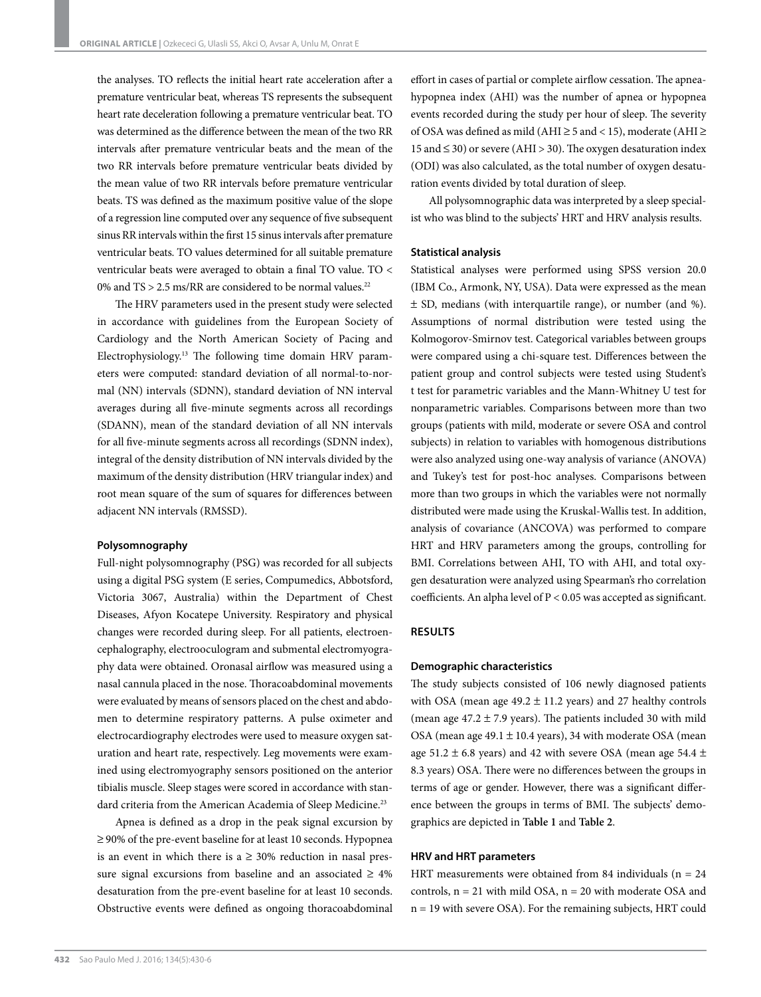the analyses. TO reflects the initial heart rate acceleration after a premature ventricular beat, whereas TS represents the subsequent heart rate deceleration following a premature ventricular beat. TO was determined as the difference between the mean of the two RR intervals after premature ventricular beats and the mean of the two RR intervals before premature ventricular beats divided by the mean value of two RR intervals before premature ventricular beats. TS was defined as the maximum positive value of the slope of a regression line computed over any sequence of five subsequent sinus RR intervals within the first 15 sinus intervals after premature ventricular beats. TO values determined for all suitable premature ventricular beats were averaged to obtain a final TO value. TO < 0% and TS  $>$  2.5 ms/RR are considered to be normal values.<sup>22</sup>

The HRV parameters used in the present study were selected in accordance with guidelines from the European Society of Cardiology and the North American Society of Pacing and Electrophysiology.13 The following time domain HRV parameters were computed: standard deviation of all normal-to-normal (NN) intervals (SDNN), standard deviation of NN interval averages during all five-minute segments across all recordings (SDANN), mean of the standard deviation of all NN intervals for all five-minute segments across all recordings (SDNN index), integral of the density distribution of NN intervals divided by the maximum of the density distribution (HRV triangular index) and root mean square of the sum of squares for differences between adjacent NN intervals (RMSSD).

#### **Polysomnography**

Full-night polysomnography (PSG) was recorded for all subjects using a digital PSG system (E series, Compumedics, Abbotsford, Victoria 3067, Australia) within the Department of Chest Diseases, Afyon Kocatepe University. Respiratory and physical changes were recorded during sleep. For all patients, electroencephalography, electrooculogram and submental electromyography data were obtained. Oronasal airflow was measured using a nasal cannula placed in the nose. Thoracoabdominal movements were evaluated by means of sensors placed on the chest and abdomen to determine respiratory patterns. A pulse oximeter and electrocardiography electrodes were used to measure oxygen saturation and heart rate, respectively. Leg movements were examined using electromyography sensors positioned on the anterior tibialis muscle. Sleep stages were scored in accordance with standard criteria from the American Academia of Sleep Medicine.<sup>23</sup>

Apnea is defined as a drop in the peak signal excursion by ≥ 90% of the pre-event baseline for at least 10 seconds. Hypopnea is an event in which there is a  $\geq$  30% reduction in nasal pressure signal excursions from baseline and an associated  $\geq 4\%$ desaturation from the pre-event baseline for at least 10 seconds. Obstructive events were defined as ongoing thoracoabdominal

effort in cases of partial or complete airflow cessation. The apneahypopnea index (AHI) was the number of apnea or hypopnea events recorded during the study per hour of sleep. The severity of OSA was defined as mild (AHI  $\geq$  5 and < 15), moderate (AHI  $\geq$ 15 and  $\leq$  30) or severe (AHI > 30). The oxygen desaturation index (ODI) was also calculated, as the total number of oxygen desaturation events divided by total duration of sleep.

All polysomnographic data was interpreted by a sleep specialist who was blind to the subjects' HRT and HRV analysis results.

#### **Statistical analysis**

Statistical analyses were performed using SPSS version 20.0 (IBM Co., Armonk, NY, USA). Data were expressed as the mean  $\pm$  SD, medians (with interquartile range), or number (and %). Assumptions of normal distribution were tested using the Kolmogorov-Smirnov test. Categorical variables between groups were compared using a chi-square test. Differences between the patient group and control subjects were tested using Student's t test for parametric variables and the Mann-Whitney U test for nonparametric variables. Comparisons between more than two groups (patients with mild, moderate or severe OSA and control subjects) in relation to variables with homogenous distributions were also analyzed using one-way analysis of variance (ANOVA) and Tukey's test for post-hoc analyses. Comparisons between more than two groups in which the variables were not normally distributed were made using the Kruskal-Wallis test. In addition, analysis of covariance (ANCOVA) was performed to compare HRT and HRV parameters among the groups, controlling for BMI. Correlations between AHI, TO with AHI, and total oxygen desaturation were analyzed using Spearman's rho correlation coefficients. An alpha level of P < 0.05 was accepted as significant.

# **RESULTS**

# **Demographic characteristics**

The study subjects consisted of 106 newly diagnosed patients with OSA (mean age  $49.2 \pm 11.2$  years) and 27 healthy controls (mean age  $47.2 \pm 7.9$  years). The patients included 30 with mild OSA (mean age  $49.1 \pm 10.4$  years), 34 with moderate OSA (mean age 51.2  $\pm$  6.8 years) and 42 with severe OSA (mean age 54.4  $\pm$ 8.3 years) OSA. There were no differences between the groups in terms of age or gender. However, there was a significant difference between the groups in terms of BMI. The subjects' demographics are depicted in **Table 1** and **Table 2**.

#### **HRV and HRT parameters**

HRT measurements were obtained from 84 individuals ( $n = 24$ ) controls,  $n = 21$  with mild OSA,  $n = 20$  with moderate OSA and n = 19 with severe OSA). For the remaining subjects, HRT could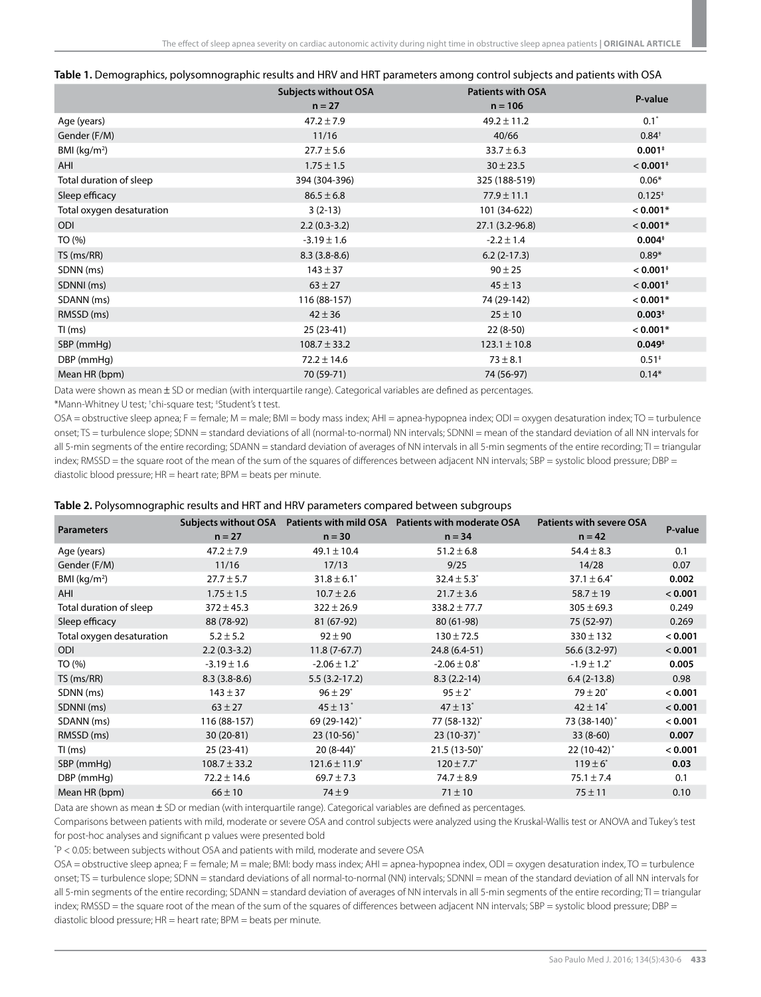|  |  |  | Table 1. Demographics, polysomnographic results and HRV and HRT parameters among control subjects and patients with OSA |  |  |  |  |
|--|--|--|-------------------------------------------------------------------------------------------------------------------------|--|--|--|--|
|--|--|--|-------------------------------------------------------------------------------------------------------------------------|--|--|--|--|

|                           | <b>Subjects without OSA</b> | <b>Patients with OSA</b> | P-value                |  |
|---------------------------|-----------------------------|--------------------------|------------------------|--|
|                           | $n = 27$                    | $n = 106$                |                        |  |
| Age (years)               | $47.2 \pm 7.9$              | $49.2 \pm 11.2$          | $0.1^*$                |  |
| Gender (F/M)              | 11/16                       | 40/66                    | $0.84^{+}$             |  |
| BMI ( $kg/m2$ )           | $27.7 \pm 5.6$              | $33.7 \pm 6.3$           | $0.001^{+}$            |  |
| AHI                       | $1.75 \pm 1.5$              | $30 \pm 23.5$            | $< 0.001$ <sup>+</sup> |  |
| Total duration of sleep   | 394 (304-396)               | 325 (188-519)            | $0.06*$                |  |
| Sleep efficacy            | $86.5 \pm 6.8$              | $77.9 \pm 11.1$          | $0.125^{+}$            |  |
| Total oxygen desaturation | $3(2-13)$                   | 101 (34-622)             | $< 0.001*$             |  |
| <b>ODI</b>                | $2.2(0.3-3.2)$              | 27.1 (3.2-96.8)          | $< 0.001*$             |  |
| TO (%)                    | $-3.19 \pm 1.6$             | $-2.2 \pm 1.4$           | $0.004*$               |  |
| $TS$ (ms/RR)              | $8.3(3.8-8.6)$              | $6.2(2-17.3)$            | $0.89*$                |  |
| SDNN (ms)                 | $143 \pm 37$                | $90 \pm 25$              | $< 0.001$ <sup>+</sup> |  |
| SDNNI (ms)                | $63 \pm 27$                 | $45 \pm 13$              | $< 0.001$ <sup>*</sup> |  |
| SDANN (ms)                | 116 (88-157)                | 74 (29-142)              | $< 0.001*$             |  |
| RMSSD (ms)                | $42 \pm 36$                 | $25 \pm 10$              | $0.003*$               |  |
| $TI$ (ms)                 | 25 (23-41)                  | $22(8-50)$               | $< 0.001*$             |  |
| SBP (mmHg)                | $108.7 \pm 33.2$            | $123.1 \pm 10.8$         | $0.049^{+}$            |  |
| DBP (mmHg)                | $72.2 \pm 14.6$             | $73 \pm 8.1$             | $0.51*$                |  |
| Mean HR (bpm)             | 70 (59-71)                  | 74 (56-97)               | $0.14*$                |  |
|                           |                             |                          |                        |  |

Data were shown as mean ± SD or median (with interquartile range). Categorical variables are defined as percentages.

\*Mann-Whitney U test; † chi-square test; ‡ Student's t test.

OSA = obstructive sleep apnea; F = female; M = male; BMI = body mass index; AHI = apnea-hypopnea index; ODI = oxygen desaturation index; TO = turbulence onset; TS = turbulence slope; SDNN = standard deviations of all (normal-to-normal) NN intervals; SDNNI = mean of the standard deviation of all NN intervals for all 5-min segments of the entire recording; SDANN = standard deviation of averages of NN intervals in all 5-min segments of the entire recording; TI = triangular index; RMSSD = the square root of the mean of the sum of the squares of differences between adjacent NN intervals; SBP = systolic blood pressure; DBP = diastolic blood pressure; HR = heart rate; BPM = beats per minute.

# **Table 2.** Polysomnographic results and HRT and HRV parameters compared between subgroups

| <b>Parameters</b>         | Subjects without OSA |                               | Patients with mild OSA Patients with moderate OSA | <b>Patients with severe OSA</b> | P-value |
|---------------------------|----------------------|-------------------------------|---------------------------------------------------|---------------------------------|---------|
|                           | $n = 27$             | $n = 30$                      | $n = 34$                                          | $n = 42$                        |         |
| Age (years)               | $47.2 \pm 7.9$       | $49.1 \pm 10.4$               | $51.2 \pm 6.8$                                    | $54.4 \pm 8.3$                  | 0.1     |
| Gender (F/M)              | 11/16                | 17/13                         | 9/25                                              | 14/28                           | 0.07    |
| BMI ( $kg/m2$ )           | $27.7 \pm 5.7$       | $31.8 \pm 6.1^*$              | $32.4 \pm 5.3^*$                                  | $37.1 \pm 6.4^*$                | 0.002   |
| AHI                       | $1.75 \pm 1.5$       | $10.7 \pm 2.6$                | $21.7 \pm 3.6$                                    | $58.7 \pm 19$                   | < 0.001 |
| Total duration of sleep   | $372 \pm 45.3$       | $322 \pm 26.9$                | $338.2 \pm 77.7$                                  | $305 \pm 69.3$                  | 0.249   |
| Sleep efficacy            | 88 (78-92)           | 81 (67-92)                    | 80 (61-98)                                        | 75 (52-97)                      | 0.269   |
| Total oxygen desaturation | $5.2 \pm 5.2$        | $92 \pm 90$                   | $130 \pm 72.5$                                    | $330 \pm 132$                   | < 0.001 |
| <b>ODI</b>                | $2.2(0.3-3.2)$       | $11.8(7-67.7)$                | 24.8 (6.4-51)                                     | 56.6 (3.2-97)                   | < 0.001 |
| TO (%)                    | $-3.19 \pm 1.6$      | $-2.06 \pm 1.2^*$             | $-2.06 \pm 0.8$ <sup>*</sup>                      | $-1.9 \pm 1.2$ <sup>*</sup>     | 0.005   |
| TS (ms/RR)                | $8.3(3.8-8.6)$       | $5.5(3.2-17.2)$               | $8.3(2.2-14)$                                     | $6.4(2-13.8)$                   | 0.98    |
| SDNN (ms)                 | $143 \pm 37$         | $96 \pm 29$ <sup>*</sup>      | $95 \pm 2^{*}$                                    | $79 \pm 20^{\circ}$             | < 0.001 |
| SDNNI (ms)                | $63 \pm 27$          | $45 \pm 13$ <sup>*</sup>      | $47 \pm 13$ <sup>*</sup>                          | $42 \pm 14$ <sup>*</sup>        | < 0.001 |
| SDANN (ms)                | 116 (88-157)         | 69 (29-142)*                  | 77 (58-132)*                                      | 73 (38-140)*                    | < 0.001 |
| RMSSD (ms)                | $30(20-81)$          | 23 (10-56) $*$                | 23 (10-37) $*$                                    | $33(8-60)$                      | 0.007   |
| $T1$ (ms)                 | 25 (23-41)           | $20(8-44)^{*}$                | $21.5(13-50)^{*}$                                 | $22(10-42)^{*}$                 | < 0.001 |
| SBP (mmHg)                | $108.7 \pm 33.2$     | $121.6 \pm 11.9$ <sup>*</sup> | $120 \pm 7.7$ <sup>*</sup>                        | $119 \pm 6^*$                   | 0.03    |
| DBP (mmHg)                | $72.2 \pm 14.6$      | $69.7 \pm 7.3$                | $74.7 \pm 8.9$                                    | $75.1 \pm 7.4$                  | 0.1     |
| Mean HR (bpm)             | $66 \pm 10$          | $74 \pm 9$                    | $71 \pm 10$                                       | $75 + 11$                       | 0.10    |
|                           |                      |                               |                                                   |                                 |         |

Data are shown as mean ± SD or median (with interquartile range). Categorical variables are defined as percentages.

Comparisons between patients with mild, moderate or severe OSA and control subjects were analyzed using the Kruskal-Wallis test or ANOVA and Tukey's test for post-hoc analyses and significant p values were presented bold

\* P < 0.05: between subjects without OSA and patients with mild, moderate and severe OSA

OSA = obstructive sleep apnea; F = female; M = male; BMI: body mass index; AHI = apnea-hypopnea index, ODI = oxygen desaturation index, TO = turbulence onset; TS = turbulence slope; SDNN = standard deviations of all normal-to-normal (NN) intervals; SDNNI = mean of the standard deviation of all NN intervals for all 5-min segments of the entire recording; SDANN = standard deviation of averages of NN intervals in all 5-min segments of the entire recording; TI = triangular index; RMSSD = the square root of the mean of the sum of the squares of differences between adjacent NN intervals; SBP = systolic blood pressure; DBP = diastolic blood pressure; HR = heart rate; BPM = beats per minute.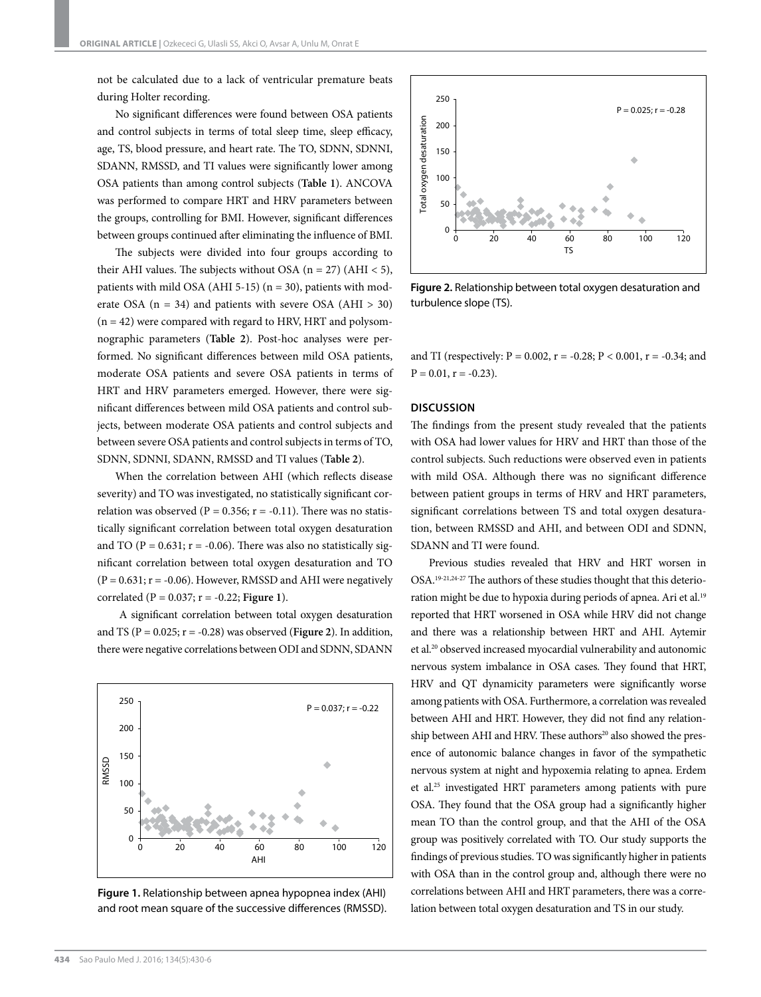not be calculated due to a lack of ventricular premature beats during Holter recording.

No significant differences were found between OSA patients and control subjects in terms of total sleep time, sleep efficacy, age, TS, blood pressure, and heart rate. The TO, SDNN, SDNNI, SDANN, RMSSD, and TI values were significantly lower among OSA patients than among control subjects (**Table 1**). ANCOVA was performed to compare HRT and HRV parameters between the groups, controlling for BMI. However, significant differences between groups continued after eliminating the influence of BMI.

The subjects were divided into four groups according to their AHI values. The subjects without OSA ( $n = 27$ ) (AHI < 5), patients with mild OSA (AHI 5-15) ( $n = 30$ ), patients with moderate OSA ( $n = 34$ ) and patients with severe OSA ( $AHI > 30$ )  $(n = 42)$  were compared with regard to HRV, HRT and polysomnographic parameters (**Table 2**). Post-hoc analyses were performed. No significant differences between mild OSA patients, moderate OSA patients and severe OSA patients in terms of HRT and HRV parameters emerged. However, there were significant differences between mild OSA patients and control subjects, between moderate OSA patients and control subjects and between severe OSA patients and control subjects in terms of TO, SDNN, SDNNI, SDANN, RMSSD and TI values (**Table 2**).

When the correlation between AHI (which reflects disease severity) and TO was investigated, no statistically significant correlation was observed ( $P = 0.356$ ;  $r = -0.11$ ). There was no statistically significant correlation between total oxygen desaturation and TO ( $P = 0.631$ ;  $r = -0.06$ ). There was also no statistically significant correlation between total oxygen desaturation and TO  $(P = 0.631; r = -0.06)$ . However, RMSSD and AHI were negatively correlated (P = 0.037; r = -0.22; **Figure 1**).

 A significant correlation between total oxygen desaturation and TS ( $P = 0.025$ ;  $r = -0.28$ ) was observed (**Figure 2**). In addition, there were negative correlations between ODI and SDNN, SDANN



**Figure 1.** Relationship between apnea hypopnea index (AHI) and root mean square of the successive differences (RMSSD).



**Figure 2.** Relationship between total oxygen desaturation and turbulence slope (TS).

and TI (respectively:  $P = 0.002$ ,  $r = -0.28$ ;  $P < 0.001$ ,  $r = -0.34$ ; and  $P = 0.01$ ,  $r = -0.23$ ).

#### **DISCUSSION**

The findings from the present study revealed that the patients with OSA had lower values for HRV and HRT than those of the control subjects. Such reductions were observed even in patients with mild OSA. Although there was no significant difference between patient groups in terms of HRV and HRT parameters, significant correlations between TS and total oxygen desaturation, between RMSSD and AHI, and between ODI and SDNN, SDANN and TI were found.

Previous studies revealed that HRV and HRT worsen in OSA.19-21,24-27 The authors of these studies thought that this deterioration might be due to hypoxia during periods of apnea. Ari et al.<sup>19</sup> reported that HRT worsened in OSA while HRV did not change and there was a relationship between HRT and AHI. Aytemir et al.20 observed increased myocardial vulnerability and autonomic nervous system imbalance in OSA cases. They found that HRT, HRV and QT dynamicity parameters were significantly worse among patients with OSA. Furthermore, a correlation was revealed between AHI and HRT. However, they did not find any relationship between AHI and HRV. These authors<sup>20</sup> also showed the presence of autonomic balance changes in favor of the sympathetic nervous system at night and hypoxemia relating to apnea. Erdem et al.25 investigated HRT parameters among patients with pure OSA. They found that the OSA group had a significantly higher mean TO than the control group, and that the AHI of the OSA group was positively correlated with TO. Our study supports the findings of previous studies. TO was significantly higher in patients with OSA than in the control group and, although there were no correlations between AHI and HRT parameters, there was a correlation between total oxygen desaturation and TS in our study.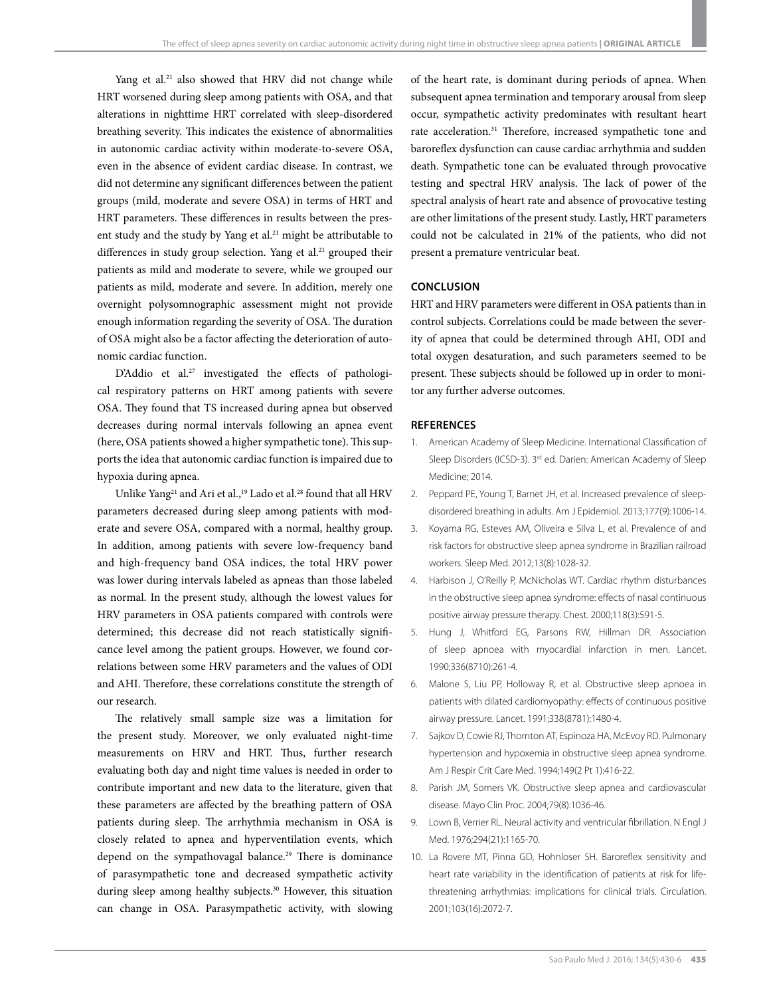Yang et al.<sup>21</sup> also showed that HRV did not change while HRT worsened during sleep among patients with OSA, and that alterations in nighttime HRT correlated with sleep-disordered breathing severity. This indicates the existence of abnormalities in autonomic cardiac activity within moderate-to-severe OSA, even in the absence of evident cardiac disease. In contrast, we did not determine any significant differences between the patient groups (mild, moderate and severe OSA) in terms of HRT and HRT parameters. These differences in results between the present study and the study by Yang et al.<sup>21</sup> might be attributable to differences in study group selection. Yang et al.<sup>21</sup> grouped their patients as mild and moderate to severe, while we grouped our patients as mild, moderate and severe. In addition, merely one overnight polysomnographic assessment might not provide enough information regarding the severity of OSA. The duration of OSA might also be a factor affecting the deterioration of autonomic cardiac function.

D'Addio et al.<sup>27</sup> investigated the effects of pathological respiratory patterns on HRT among patients with severe OSA. They found that TS increased during apnea but observed decreases during normal intervals following an apnea event (here, OSA patients showed a higher sympathetic tone). This supports the idea that autonomic cardiac function is impaired due to hypoxia during apnea.

Unlike Yang<sup>21</sup> and Ari et al.,<sup>19</sup> Lado et al.<sup>28</sup> found that all HRV parameters decreased during sleep among patients with moderate and severe OSA, compared with a normal, healthy group. In addition, among patients with severe low-frequency band and high-frequency band OSA indices, the total HRV power was lower during intervals labeled as apneas than those labeled as normal. In the present study, although the lowest values for HRV parameters in OSA patients compared with controls were determined; this decrease did not reach statistically significance level among the patient groups. However, we found correlations between some HRV parameters and the values of ODI and AHI. Therefore, these correlations constitute the strength of our research.

The relatively small sample size was a limitation for the present study. Moreover, we only evaluated night-time measurements on HRV and HRT. Thus, further research evaluating both day and night time values is needed in order to contribute important and new data to the literature, given that these parameters are affected by the breathing pattern of OSA patients during sleep. The arrhythmia mechanism in OSA is closely related to apnea and hyperventilation events, which depend on the sympathovagal balance.<sup>29</sup> There is dominance of parasympathetic tone and decreased sympathetic activity during sleep among healthy subjects.<sup>30</sup> However, this situation can change in OSA. Parasympathetic activity, with slowing of the heart rate, is dominant during periods of apnea. When subsequent apnea termination and temporary arousal from sleep occur, sympathetic activity predominates with resultant heart rate acceleration.<sup>31</sup> Therefore, increased sympathetic tone and baroreflex dysfunction can cause cardiac arrhythmia and sudden death. Sympathetic tone can be evaluated through provocative testing and spectral HRV analysis. The lack of power of the spectral analysis of heart rate and absence of provocative testing are other limitations of the present study. Lastly, HRT parameters could not be calculated in 21% of the patients, who did not present a premature ventricular beat.

# **CONCLUSION**

HRT and HRV parameters were different in OSA patients than in control subjects. Correlations could be made between the severity of apnea that could be determined through AHI, ODI and total oxygen desaturation, and such parameters seemed to be present. These subjects should be followed up in order to monitor any further adverse outcomes.

#### **REFERENCES**

- 1. American Academy of Sleep Medicine. International Classification of Sleep Disorders (ICSD-3). 3<sup>rd</sup> ed. Darien: American Academy of Sleep Medicine; 2014.
- 2. Peppard PE, Young T, Barnet JH, et al. Increased prevalence of sleepdisordered breathing in adults. Am J Epidemiol. 2013;177(9):1006-14.
- 3. Koyama RG, Esteves AM, Oliveira e Silva L, et al. Prevalence of and risk factors for obstructive sleep apnea syndrome in Brazilian railroad workers. Sleep Med. 2012;13(8):1028-32.
- 4. Harbison J, O'Reilly P, McNicholas WT. Cardiac rhythm disturbances in the obstructive sleep apnea syndrome: effects of nasal continuous positive airway pressure therapy. Chest. 2000;118(3):591-5.
- 5. Hung J, Whitford EG, Parsons RW, Hillman DR. Association of sleep apnoea with myocardial infarction in men. Lancet. 1990;336(8710):261-4.
- 6. Malone S, Liu PP, Holloway R, et al. Obstructive sleep apnoea in patients with dilated cardiomyopathy: effects of continuous positive airway pressure. Lancet. 1991;338(8781):1480-4.
- 7. Sajkov D, Cowie RJ, Thornton AT, Espinoza HA, McEvoy RD. Pulmonary hypertension and hypoxemia in obstructive sleep apnea syndrome. Am J Respir Crit Care Med. 1994;149(2 Pt 1):416-22.
- 8. Parish JM, Somers VK. Obstructive sleep apnea and cardiovascular disease. Mayo Clin Proc. 2004;79(8):1036-46.
- 9. Lown B, Verrier RL. Neural activity and ventricular fibrillation. N Engl J Med. 1976;294(21):1165-70.
- 10. La Rovere MT, Pinna GD, Hohnloser SH. Baroreflex sensitivity and heart rate variability in the identification of patients at risk for lifethreatening arrhythmias: implications for clinical trials. Circulation. 2001;103(16):2072-7.